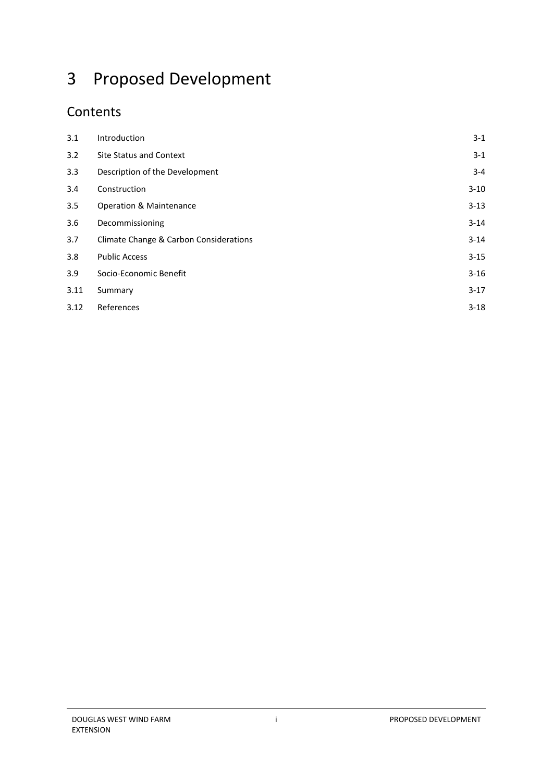# 3 Proposed Development

# **Contents**

| 3.1  | Introduction                           | $3 - 1$  |
|------|----------------------------------------|----------|
| 3.2  | <b>Site Status and Context</b>         | $3-1$    |
| 3.3  | Description of the Development         | $3 - 4$  |
| 3.4  | Construction                           | $3-10$   |
| 3.5  | <b>Operation &amp; Maintenance</b>     | $3-13$   |
| 3.6  | Decommissioning                        | $3 - 14$ |
| 3.7  | Climate Change & Carbon Considerations | $3 - 14$ |
| 3.8  | <b>Public Access</b>                   | $3 - 15$ |
| 3.9  | Socio-Economic Benefit                 | $3 - 16$ |
| 3.11 | Summary                                | $3-17$   |
| 3.12 | References                             | $3-18$   |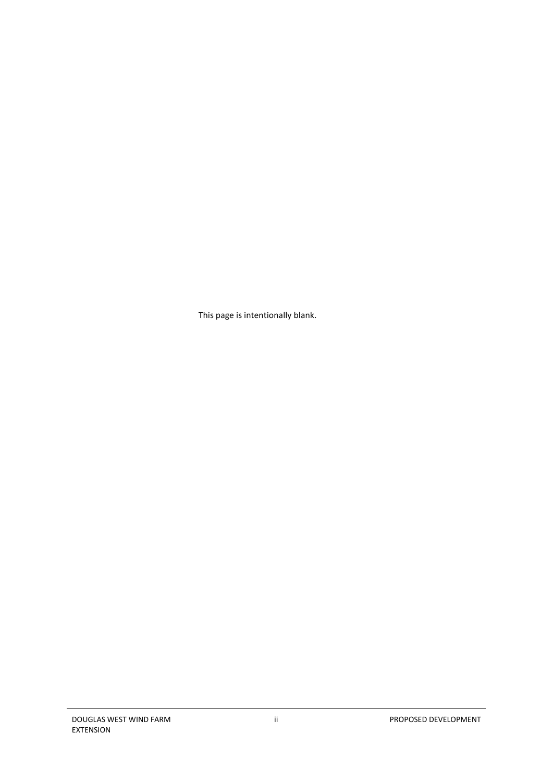This page is intentionally blank.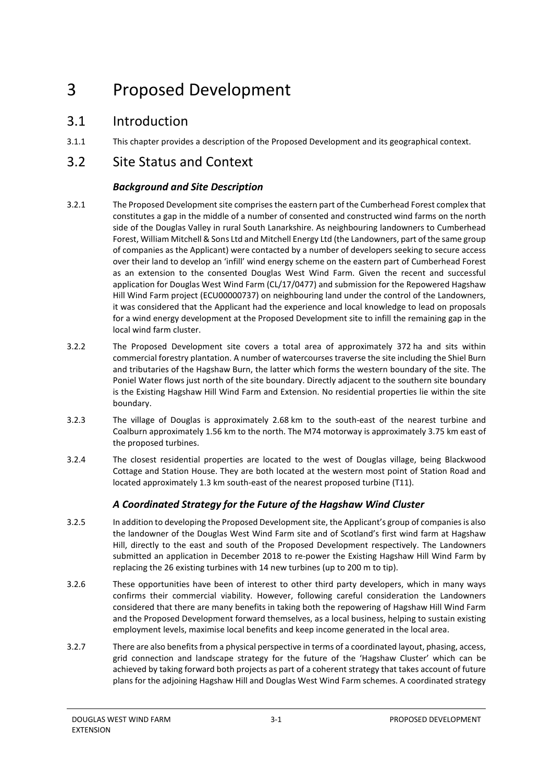# 3 Proposed Development

- <span id="page-2-0"></span>3.1 Introduction
- 3.1.1 This chapter provides a description of the Proposed Development and its geographical context.

### <span id="page-2-1"></span>3.2 Site Status and Context

### *Background and Site Description*

- 3.2.1 The Proposed Development site comprises the eastern part of the Cumberhead Forest complex that constitutes a gap in the middle of a number of consented and constructed wind farms on the north side of the Douglas Valley in rural South Lanarkshire. As neighbouring landowners to Cumberhead Forest, William Mitchell & Sons Ltd and Mitchell Energy Ltd (the Landowners, part of the same group of companies as the Applicant) were contacted by a number of developers seeking to secure access over their land to develop an 'infill' wind energy scheme on the eastern part of Cumberhead Forest as an extension to the consented Douglas West Wind Farm. Given the recent and successful application for Douglas West Wind Farm (CL/17/0477) and submission for the Repowered Hagshaw Hill Wind Farm project (ECU00000737) on neighbouring land under the control of the Landowners, it was considered that the Applicant had the experience and local knowledge to lead on proposals for a wind energy development at the Proposed Development site to infill the remaining gap in the local wind farm cluster.
- 3.2.2 The Proposed Development site covers a total area of approximately 372 ha and sits within commercial forestry plantation. A number of watercourses traverse the site including the Shiel Burn and tributaries of the Hagshaw Burn, the latter which forms the western boundary of the site. The Poniel Water flows just north of the site boundary. Directly adjacent to the southern site boundary is the Existing Hagshaw Hill Wind Farm and Extension. No residential properties lie within the site boundary.
- 3.2.3 The village of Douglas is approximately 2.68 km to the south-east of the nearest turbine and Coalburn approximately 1.56 km to the north. The M74 motorway is approximately 3.75 km east of the proposed turbines.
- 3.2.4 The closest residential properties are located to the west of Douglas village, being Blackwood Cottage and Station House. They are both located at the western most point of Station Road and located approximately 1.3 km south-east of the nearest proposed turbine (T11).

### *A Coordinated Strategy for the Future of the Hagshaw Wind Cluster*

- 3.2.5 In addition to developing the Proposed Development site, the Applicant's group of companies is also the landowner of the Douglas West Wind Farm site and of Scotland's first wind farm at Hagshaw Hill, directly to the east and south of the Proposed Development respectively. The Landowners submitted an application in December 2018 to re-power the Existing Hagshaw Hill Wind Farm by replacing the 26 existing turbines with 14 new turbines (up to 200 m to tip).
- 3.2.6 These opportunities have been of interest to other third party developers, which in many ways confirms their commercial viability. However, following careful consideration the Landowners considered that there are many benefits in taking both the repowering of Hagshaw Hill Wind Farm and the Proposed Development forward themselves, as a local business, helping to sustain existing employment levels, maximise local benefits and keep income generated in the local area.
- 3.2.7 There are also benefits from a physical perspective in terms of a coordinated layout, phasing, access, grid connection and landscape strategy for the future of the 'Hagshaw Cluster' which can be achieved by taking forward both projects as part of a coherent strategy that takes account of future plans for the adjoining Hagshaw Hill and Douglas West Wind Farm schemes. A coordinated strategy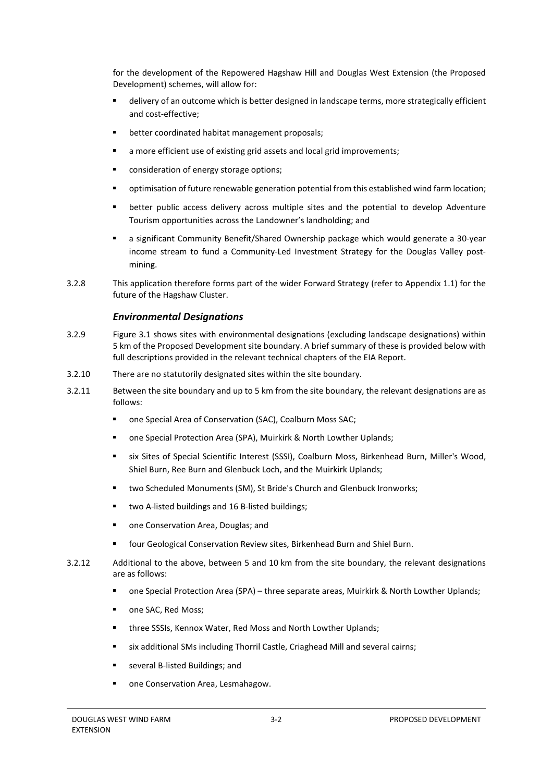for the development of the Repowered Hagshaw Hill and Douglas West Extension (the Proposed Development) schemes, will allow for:

- delivery of an outcome which is better designed in landscape terms, more strategically efficient and cost-effective;
- **•** better coordinated habitat management proposals;
- **a** a more efficient use of existing grid assets and local grid improvements;
- **EXECONS** consideration of energy storage options:
- optimisation of future renewable generation potential from this established wind farm location;
- better public access delivery across multiple sites and the potential to develop Adventure Tourism opportunities across the Landowner's landholding; and
- a significant Community Benefit/Shared Ownership package which would generate a 30-year income stream to fund a Community-Led Investment Strategy for the Douglas Valley postmining.
- 3.2.8 This application therefore forms part of the wider Forward Strategy (refer to Appendix 1.1) for the future of the Hagshaw Cluster.

#### *Environmental Designations*

- 3.2.9 Figure 3.1 shows sites with environmental designations (excluding landscape designations) within 5 km of the Proposed Development site boundary. A brief summary of these is provided below with full descriptions provided in the relevant technical chapters of the EIA Report.
- 3.2.10 There are no statutorily designated sites within the site boundary.
- 3.2.11 Between the site boundary and up to 5 km from the site boundary, the relevant designations are as follows:
	- one Special Area of Conservation (SAC), Coalburn Moss SAC;
	- one Special Protection Area (SPA), Muirkirk & North Lowther Uplands;
	- six Sites of Special Scientific Interest (SSSI), Coalburn Moss, Birkenhead Burn, Miller's Wood, Shiel Burn, Ree Burn and Glenbuck Loch, and the Muirkirk Uplands;
	- two Scheduled Monuments (SM), St Bride's Church and Glenbuck Ironworks;
	- **u** two A-listed buildings and 16 B-listed buildings;
	- one Conservation Area, Douglas; and
	- four Geological Conservation Review sites, Birkenhead Burn and Shiel Burn.
- 3.2.12 Additional to the above, between 5 and 10 km from the site boundary, the relevant designations are as follows:
	- one Special Protection Area (SPA) three separate areas, Muirkirk & North Lowther Uplands;
	- **one SAC, Red Moss;**
	- **three SSSIs, Kennox Water, Red Moss and North Lowther Uplands:**
	- six additional SMs including Thorril Castle, Criaghead Mill and several cairns;
	- **EXECUTE:** several B-listed Buildings; and
	- **one Conservation Area, Lesmahagow.**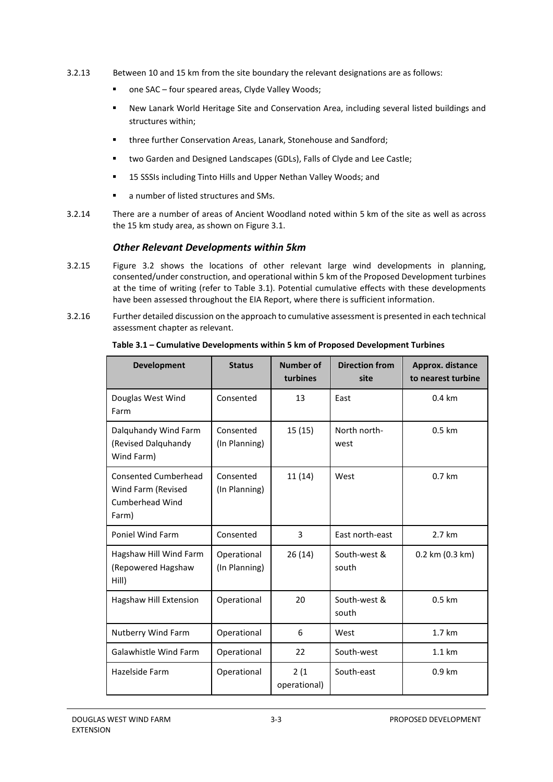- 3.2.13 Between 10 and 15 km from the site boundary the relevant designations are as follows:
	- one SAC four speared areas, Clyde Valley Woods;
	- New Lanark World Heritage Site and Conservation Area, including several listed buildings and structures within;
	- **three further Conservation Areas, Lanark, Stonehouse and Sandford;**
	- two Garden and Designed Landscapes (GDLs), Falls of Clyde and Lee Castle;
	- **15 SSSIs including Tinto Hills and Upper Nethan Valley Woods; and**
	- a number of listed structures and SMs.
- 3.2.14 There are a number of areas of Ancient Woodland noted within 5 km of the site as well as across the 15 km study area, as shown on Figure 3.1.

#### *Other Relevant Developments within 5km*

- 3.2.15 Figure 3.2 shows the locations of other relevant large wind developments in planning, consented/under construction, and operational within 5 km of the Proposed Development turbines at the time of writing (refer to Table 3.1). Potential cumulative effects with these developments have been assessed throughout the EIA Report, where there is sufficient information.
- 3.2.16 Further detailed discussion on the approach to cumulative assessment is presented in each technical assessment chapter as relevant.

| <b>Development</b>                                                            | <b>Status</b>                | <b>Number of</b><br>turbines | <b>Direction from</b><br>site | Approx. distance<br>to nearest turbine |
|-------------------------------------------------------------------------------|------------------------------|------------------------------|-------------------------------|----------------------------------------|
| Douglas West Wind<br>Farm                                                     | Consented                    | 13                           | East                          | $0.4 \text{ km}$                       |
| Dalquhandy Wind Farm<br>(Revised Dalquhandy<br>Wind Farm)                     | Consented<br>(In Planning)   | 15(15)                       | North north-<br>west          | 0.5 km                                 |
| Consented Cumberhead<br>Wind Farm (Revised<br><b>Cumberhead Wind</b><br>Farm) | Consented<br>(In Planning)   | 11 (14)                      | West                          | 0.7 km                                 |
| Poniel Wind Farm                                                              | Consented                    | 3                            | East north-east               | 2.7 km                                 |
| Hagshaw Hill Wind Farm<br>(Repowered Hagshaw<br>Hill)                         | Operational<br>(In Planning) | 26 (14)                      | South-west &<br>south         | $0.2$ km $(0.3$ km $)$                 |
| Hagshaw Hill Extension                                                        | Operational                  | 20                           | South-west &<br>south         | $0.5 \text{ km}$                       |
| Nutberry Wind Farm                                                            | Operational                  | 6                            | West                          | $1.7 \text{ km}$                       |
| Galawhistle Wind Farm                                                         | Operational                  | 22                           | South-west                    | $1.1 \text{ km}$                       |
| Hazelside Farm                                                                | Operational                  | 2(1)<br>operational)         | South-east                    | 0.9 km                                 |

#### **Table 3.1 – Cumulative Developments within 5 km of Proposed Development Turbines**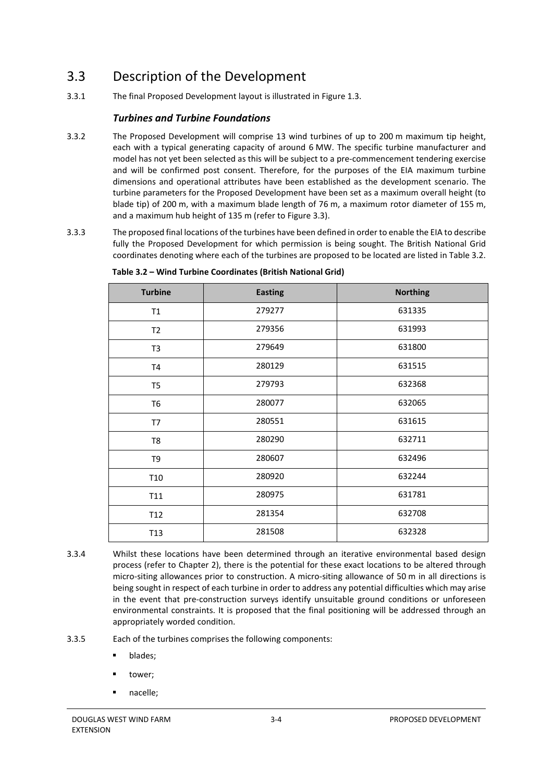## <span id="page-5-0"></span>3.3 Description of the Development

3.3.1 The final Proposed Development layout is illustrated in Figure 1.3.

### *Turbines and Turbine Foundations*

- 3.3.2 The Proposed Development will comprise 13 wind turbines of up to 200 m maximum tip height, each with a typical generating capacity of around 6 MW. The specific turbine manufacturer and model has not yet been selected as this will be subject to a pre-commencement tendering exercise and will be confirmed post consent. Therefore, for the purposes of the EIA maximum turbine dimensions and operational attributes have been established as the development scenario. The turbine parameters for the Proposed Development have been set as a maximum overall height (to blade tip) of 200 m, with a maximum blade length of 76 m, a maximum rotor diameter of 155 m, and a maximum hub height of 135 m (refer to Figure 3.3).
- 3.3.3 The proposed final locations of the turbines have been defined in order to enable the EIA to describe fully the Proposed Development for which permission is being sought. The British National Grid coordinates denoting where each of the turbines are proposed to be located are listed in Table 3.2.

| <b>Turbine</b>  | <b>Easting</b> | <b>Northing</b> |
|-----------------|----------------|-----------------|
| T1              | 279277         | 631335          |
| T <sub>2</sub>  | 279356         | 631993          |
| T3              | 279649         | 631800          |
| T4              | 280129         | 631515          |
| T <sub>5</sub>  | 279793         | 632368          |
| T6              | 280077         | 632065          |
| T7              | 280551         | 631615          |
| T8              | 280290         | 632711          |
| T9              | 280607         | 632496          |
| T <sub>10</sub> | 280920         | 632244          |
| T11             | 280975         | 631781          |
| T <sub>12</sub> | 281354         | 632708          |
| T <sub>13</sub> | 281508         | 632328          |

#### **Table 3.2 – Wind Turbine Coordinates (British National Grid)**

- 3.3.4 Whilst these locations have been determined through an iterative environmental based design process (refer to Chapter 2), there is the potential for these exact locations to be altered through micro-siting allowances prior to construction. A micro-siting allowance of 50 m in all directions is being sought in respect of each turbine in order to address any potential difficulties which may arise in the event that pre-construction surveys identify unsuitable ground conditions or unforeseen environmental constraints. It is proposed that the final positioning will be addressed through an appropriately worded condition.
- 3.3.5 Each of the turbines comprises the following components:
	- **blades**;
	- **u** tower;
	- nacelle;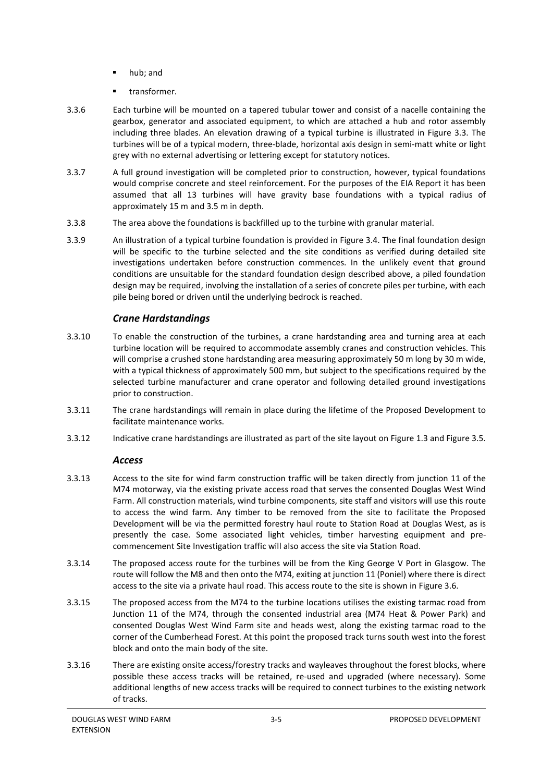- hub; and
- transformer.
- 3.3.6 Each turbine will be mounted on a tapered tubular tower and consist of a nacelle containing the gearbox, generator and associated equipment, to which are attached a hub and rotor assembly including three blades. An elevation drawing of a typical turbine is illustrated in Figure 3.3. The turbines will be of a typical modern, three-blade, horizontal axis design in semi-matt white or light grey with no external advertising or lettering except for statutory notices.
- 3.3.7 A full ground investigation will be completed prior to construction, however, typical foundations would comprise concrete and steel reinforcement. For the purposes of the EIA Report it has been assumed that all 13 turbines will have gravity base foundations with a typical radius of approximately 15 m and 3.5 m in depth.
- 3.3.8 The area above the foundations is backfilled up to the turbine with granular material.
- 3.3.9 An illustration of a typical turbine foundation is provided in Figure 3.4. The final foundation design will be specific to the turbine selected and the site conditions as verified during detailed site investigations undertaken before construction commences. In the unlikely event that ground conditions are unsuitable for the standard foundation design described above, a piled foundation design may be required, involving the installation of a series of concrete piles per turbine, with each pile being bored or driven until the underlying bedrock is reached.

### *Crane Hardstandings*

- 3.3.10 To enable the construction of the turbines, a crane hardstanding area and turning area at each turbine location will be required to accommodate assembly cranes and construction vehicles. This will comprise a crushed stone hardstanding area measuring approximately 50 m long by 30 m wide, with a typical thickness of approximately 500 mm, but subject to the specifications required by the selected turbine manufacturer and crane operator and following detailed ground investigations prior to construction.
- 3.3.11 The crane hardstandings will remain in place during the lifetime of the Proposed Development to facilitate maintenance works.
- 3.3.12 Indicative crane hardstandings are illustrated as part of the site layout on Figure 1.3 and Figure 3.5.

### *Access*

- 3.3.13 Access to the site for wind farm construction traffic will be taken directly from junction 11 of the M74 motorway, via the existing private access road that serves the consented Douglas West Wind Farm. All construction materials, wind turbine components, site staff and visitors will use this route to access the wind farm. Any timber to be removed from the site to facilitate the Proposed Development will be via the permitted forestry haul route to Station Road at Douglas West, as is presently the case. Some associated light vehicles, timber harvesting equipment and precommencement Site Investigation traffic will also access the site via Station Road.
- 3.3.14 The proposed access route for the turbines will be from the King George V Port in Glasgow. The route will follow the M8 and then onto the M74, exiting at junction 11 (Poniel) where there is direct access to the site via a private haul road. This access route to the site is shown in Figure 3.6.
- 3.3.15 The proposed access from the M74 to the turbine locations utilises the existing tarmac road from Junction 11 of the M74, through the consented industrial area (M74 Heat & Power Park) and consented Douglas West Wind Farm site and heads west, along the existing tarmac road to the corner of the Cumberhead Forest. At this point the proposed track turns south west into the forest block and onto the main body of the site.
- 3.3.16 There are existing onsite access/forestry tracks and wayleaves throughout the forest blocks, where possible these access tracks will be retained, re-used and upgraded (where necessary). Some additional lengths of new access tracks will be required to connect turbines to the existing network of tracks.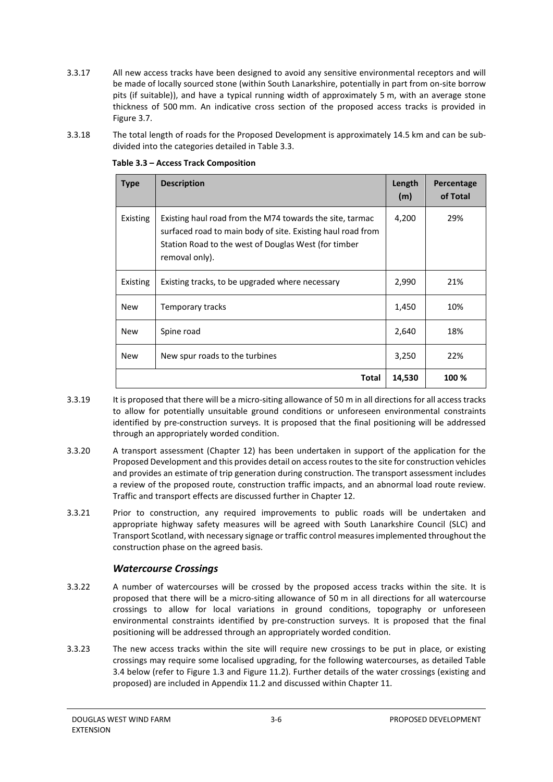- 3.3.17 All new access tracks have been designed to avoid any sensitive environmental receptors and will be made of locally sourced stone (within South Lanarkshire, potentially in part from on-site borrow pits (if suitable)), and have a typical running width of approximately 5 m, with an average stone thickness of 500 mm. An indicative cross section of the proposed access tracks is provided in Figure 3.7.
- 3.3.18 The total length of roads for the Proposed Development is approximately 14.5 km and can be subdivided into the categories detailed in Table 3.3.

| <b>Type</b> | <b>Description</b>                                                                                                                                                                                | Length<br>(m) | Percentage<br>of Total |
|-------------|---------------------------------------------------------------------------------------------------------------------------------------------------------------------------------------------------|---------------|------------------------|
| Existing    | Existing haul road from the M74 towards the site, tarmac<br>surfaced road to main body of site. Existing haul road from<br>Station Road to the west of Douglas West (for timber<br>removal only). | 4,200         | 29%                    |
| Existing    | Existing tracks, to be upgraded where necessary                                                                                                                                                   | 2,990         | 21%                    |
| <b>New</b>  | Temporary tracks                                                                                                                                                                                  | 1,450         | 10%                    |
| <b>New</b>  | Spine road                                                                                                                                                                                        | 2,640         | 18%                    |
| <b>New</b>  | New spur roads to the turbines                                                                                                                                                                    | 3,250         | 22%                    |
|             | Total                                                                                                                                                                                             | 14,530        | 100 %                  |

**Table 3.3 – Access Track Composition**

- 3.3.19 It is proposed that there will be a micro-siting allowance of 50 m in all directions for all access tracks to allow for potentially unsuitable ground conditions or unforeseen environmental constraints identified by pre-construction surveys. It is proposed that the final positioning will be addressed through an appropriately worded condition.
- 3.3.20 A transport assessment (Chapter 12) has been undertaken in support of the application for the Proposed Development and this provides detail on access routes to the site for construction vehicles and provides an estimate of trip generation during construction. The transport assessment includes a review of the proposed route, construction traffic impacts, and an abnormal load route review. Traffic and transport effects are discussed further in Chapter 12.
- 3.3.21 Prior to construction, any required improvements to public roads will be undertaken and appropriate highway safety measures will be agreed with South Lanarkshire Council (SLC) and Transport Scotland, with necessary signage or traffic control measures implemented throughout the construction phase on the agreed basis.

### *Watercourse Crossings*

- 3.3.22 A number of watercourses will be crossed by the proposed access tracks within the site. It is proposed that there will be a micro-siting allowance of 50 m in all directions for all watercourse crossings to allow for local variations in ground conditions, topography or unforeseen environmental constraints identified by pre-construction surveys. It is proposed that the final positioning will be addressed through an appropriately worded condition.
- 3.3.23 The new access tracks within the site will require new crossings to be put in place, or existing crossings may require some localised upgrading, for the following watercourses, as detailed Table 3.4 below (refer to Figure 1.3 and Figure 11.2). Further details of the water crossings (existing and proposed) are included in Appendix 11.2 and discussed within Chapter 11.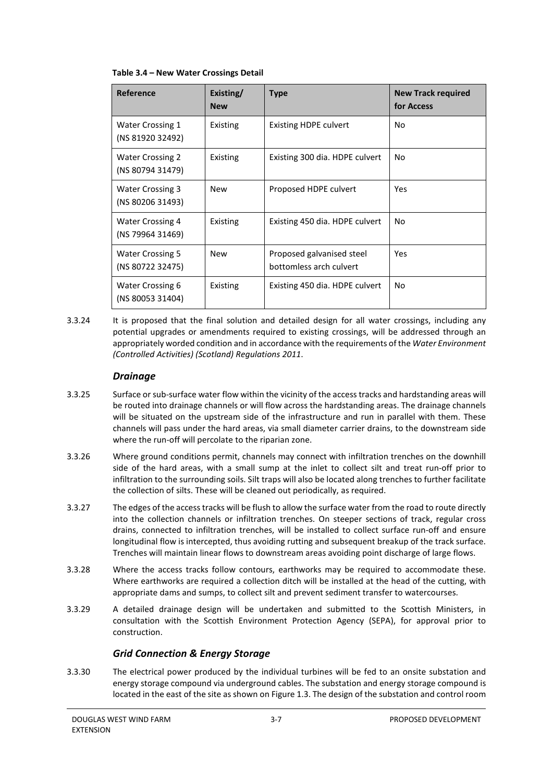| Reference                                   | Existing/<br><b>New</b> | <b>Type</b>                                          | <b>New Track required</b><br>for Access |
|---------------------------------------------|-------------------------|------------------------------------------------------|-----------------------------------------|
| <b>Water Crossing 1</b><br>(NS 81920 32492) | Existing                | <b>Existing HDPE culvert</b>                         | No.                                     |
| <b>Water Crossing 2</b><br>(NS 80794 31479) | Existing                | Existing 300 dia. HDPE culvert                       | No.                                     |
| Water Crossing 3<br>(NS 80206 31493)        | <b>New</b>              | Proposed HDPE culvert                                | Yes                                     |
| <b>Water Crossing 4</b><br>(NS 79964 31469) | Existing                | Existing 450 dia. HDPE culvert                       | No.                                     |
| <b>Water Crossing 5</b><br>(NS 80722 32475) | <b>New</b>              | Proposed galvanised steel<br>bottomless arch culvert | Yes                                     |
| Water Crossing 6<br>(NS 80053 31404)        | Existing                | Existing 450 dia. HDPE culvert                       | No.                                     |

3.3.24 It is proposed that the final solution and detailed design for all water crossings, including any potential upgrades or amendments required to existing crossings, will be addressed through an appropriately worded condition and in accordance with the requirements of the *Water Environment (Controlled Activities) (Scotland) Regulations 2011*.

### *Drainage*

- 3.3.25 Surface or sub-surface water flow within the vicinity of the access tracks and hardstanding areas will be routed into drainage channels or will flow across the hardstanding areas. The drainage channels will be situated on the upstream side of the infrastructure and run in parallel with them. These channels will pass under the hard areas, via small diameter carrier drains, to the downstream side where the run-off will percolate to the riparian zone.
- 3.3.26 Where ground conditions permit, channels may connect with infiltration trenches on the downhill side of the hard areas, with a small sump at the inlet to collect silt and treat run-off prior to infiltration to the surrounding soils. Silt traps will also be located along trenches to further facilitate the collection of silts. These will be cleaned out periodically, as required.
- 3.3.27 The edges of the access tracks will be flush to allow the surface water from the road to route directly into the collection channels or infiltration trenches. On steeper sections of track, regular cross drains, connected to infiltration trenches, will be installed to collect surface run-off and ensure longitudinal flow is intercepted, thus avoiding rutting and subsequent breakup of the track surface. Trenches will maintain linear flows to downstream areas avoiding point discharge of large flows.
- 3.3.28 Where the access tracks follow contours, earthworks may be required to accommodate these. Where earthworks are required a collection ditch will be installed at the head of the cutting, with appropriate dams and sumps, to collect silt and prevent sediment transfer to watercourses.
- 3.3.29 A detailed drainage design will be undertaken and submitted to the Scottish Ministers, in consultation with the Scottish Environment Protection Agency (SEPA), for approval prior to construction.

### *Grid Connection & Energy Storage*

3.3.30 The electrical power produced by the individual turbines will be fed to an onsite substation and energy storage compound via underground cables. The substation and energy storage compound is located in the east of the site as shown on Figure 1.3. The design of the substation and control room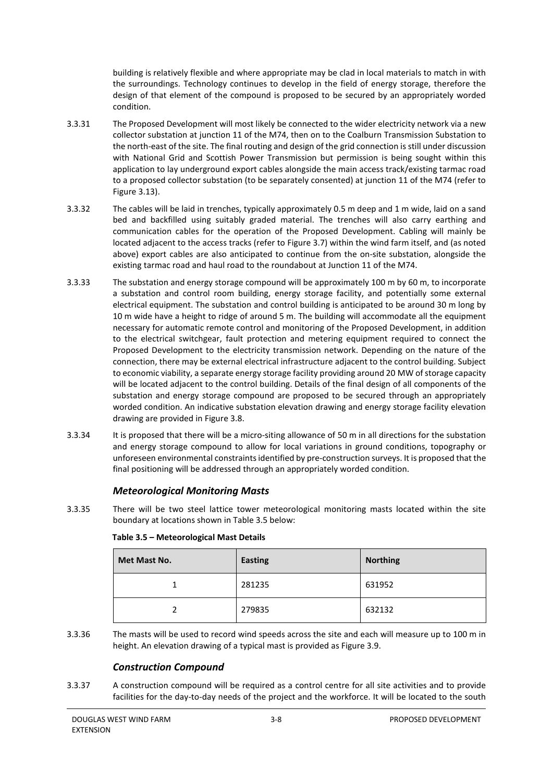building is relatively flexible and where appropriate may be clad in local materials to match in with the surroundings. Technology continues to develop in the field of energy storage, therefore the design of that element of the compound is proposed to be secured by an appropriately worded condition.

- 3.3.31 The Proposed Development will most likely be connected to the wider electricity network via a new collector substation at junction 11 of the M74, then on to the Coalburn Transmission Substation to the north-east of the site. The final routing and design of the grid connection is still under discussion with National Grid and Scottish Power Transmission but permission is being sought within this application to lay underground export cables alongside the main access track/existing tarmac road to a proposed collector substation (to be separately consented) at junction 11 of the M74 (refer to Figure 3.13).
- 3.3.32 The cables will be laid in trenches, typically approximately 0.5 m deep and 1 m wide, laid on a sand bed and backfilled using suitably graded material. The trenches will also carry earthing and communication cables for the operation of the Proposed Development. Cabling will mainly be located adjacent to the access tracks (refer to Figure 3.7) within the wind farm itself, and (as noted above) export cables are also anticipated to continue from the on-site substation, alongside the existing tarmac road and haul road to the roundabout at Junction 11 of the M74.
- 3.3.33 The substation and energy storage compound will be approximately 100 m by 60 m, to incorporate a substation and control room building, energy storage facility, and potentially some external electrical equipment. The substation and control building is anticipated to be around 30 m long by 10 m wide have a height to ridge of around 5 m. The building will accommodate all the equipment necessary for automatic remote control and monitoring of the Proposed Development, in addition to the electrical switchgear, fault protection and metering equipment required to connect the Proposed Development to the electricity transmission network. Depending on the nature of the connection, there may be external electrical infrastructure adjacent to the control building. Subject to economic viability, a separate energy storage facility providing around 20 MW of storage capacity will be located adjacent to the control building. Details of the final design of all components of the substation and energy storage compound are proposed to be secured through an appropriately worded condition. An indicative substation elevation drawing and energy storage facility elevation drawing are provided in Figure 3.8.
- 3.3.34 It is proposed that there will be a micro-siting allowance of 50 m in all directions for the substation and energy storage compound to allow for local variations in ground conditions, topography or unforeseen environmental constraints identified by pre-construction surveys. It is proposed that the final positioning will be addressed through an appropriately worded condition.

### *Meteorological Monitoring Masts*

3.3.35 There will be two steel lattice tower meteorological monitoring masts located within the site boundary at locations shown in Table 3.5 below:

| Met Mast No. | <b>Easting</b> | <b>Northing</b> |  |  |  |  |
|--------------|----------------|-----------------|--|--|--|--|
| 1            | 281235         | 631952          |  |  |  |  |
|              | 279835         | 632132          |  |  |  |  |

3.3.36 The masts will be used to record wind speeds across the site and each will measure up to 100 m in height. An elevation drawing of a typical mast is provided as Figure 3.9.

### *Construction Compound*

3.3.37 A construction compound will be required as a control centre for all site activities and to provide facilities for the day-to-day needs of the project and the workforce. It will be located to the south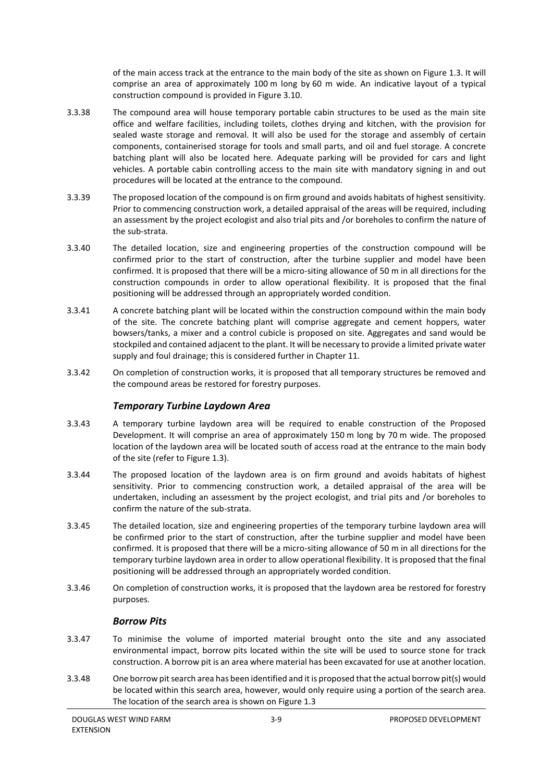of the main access track at the entrance to the main body of the site as shown on Figure 1.3. It will comprise an area of approximately 100 m long by 60 m wide. An indicative layout of a typical construction compound is provided in Figure 3.10.

- 3.3.38 The compound area will house temporary portable cabin structures to be used as the main site office and welfare facilities, including toilets, clothes drying and kitchen, with the provision for sealed waste storage and removal. It will also be used for the storage and assembly of certain components, containerised storage for tools and small parts, and oil and fuel storage. A concrete batching plant will also be located here. Adequate parking will be provided for cars and light vehicles. A portable cabin controlling access to the main site with mandatory signing in and out procedures will be located at the entrance to the compound.
- 3.3.39 The proposed location of the compound is on firm ground and avoids habitats of highest sensitivity. Prior to commencing construction work, a detailed appraisal of the areas will be required, including an assessment by the project ecologist and also trial pits and /or boreholes to confirm the nature of the sub-strata.
- 3.3.40 The detailed location, size and engineering properties of the construction compound will be confirmed prior to the start of construction, after the turbine supplier and model have been confirmed. It is proposed that there will be a micro-siting allowance of 50 m in all directions for the construction compounds in order to allow operational flexibility. It is proposed that the final positioning will be addressed through an appropriately worded condition.
- 3.3.41 A concrete batching plant will be located within the construction compound within the main body of the site. The concrete batching plant will comprise aggregate and cement hoppers, water bowsers/tanks, a mixer and a control cubicle is proposed on site. Aggregates and sand would be stockpiled and contained adjacent to the plant. It will be necessary to provide a limited private water supply and foul drainage; this is considered further in Chapter 11.
- 3.3.42 On completion of construction works, it is proposed that all temporary structures be removed and the compound areas be restored for forestry purposes.

### *Temporary Turbine Laydown Area*

- 3.3.43 A temporary turbine laydown area will be required to enable construction of the Proposed Development. It will comprise an area of approximately 150 m long by 70 m wide. The proposed location of the laydown area will be located south of access road at the entrance to the main body of the site (refer to Figure 1.3).
- 3.3.44 The proposed location of the laydown area is on firm ground and avoids habitats of highest sensitivity. Prior to commencing construction work, a detailed appraisal of the area will be undertaken, including an assessment by the project ecologist, and trial pits and /or boreholes to confirm the nature of the sub-strata.
- 3.3.45 The detailed location, size and engineering properties of the temporary turbine laydown area will be confirmed prior to the start of construction, after the turbine supplier and model have been confirmed. It is proposed that there will be a micro-siting allowance of 50 m in all directions for the temporary turbine laydown area in order to allow operational flexibility. It is proposed that the final positioning will be addressed through an appropriately worded condition.
- 3.3.46 On completion of construction works, it is proposed that the laydown area be restored for forestry purposes.

#### *Borrow Pits*

- 3.3.47 To minimise the volume of imported material brought onto the site and any associated environmental impact, borrow pits located within the site will be used to source stone for track construction. A borrow pit is an area where material has been excavated for use at another location.
- 3.3.48 One borrow pit search area has been identified and it is proposed that the actual borrow pit(s) would be located within this search area, however, would only require using a portion of the search area. The location of the search area is shown on Figure 1.3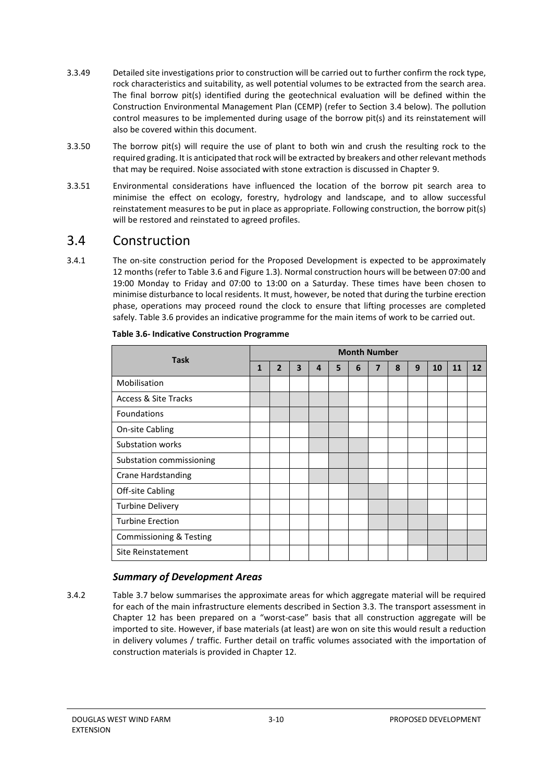- 3.3.49 Detailed site investigations prior to construction will be carried out to further confirm the rock type, rock characteristics and suitability, as well potential volumes to be extracted from the search area. The final borrow pit(s) identified during the geotechnical evaluation will be defined within the Construction Environmental Management Plan (CEMP) (refer to Section 3.4 below). The pollution control measures to be implemented during usage of the borrow pit(s) and its reinstatement will also be covered within this document.
- 3.3.50 The borrow pit(s) will require the use of plant to both win and crush the resulting rock to the required grading. It is anticipated that rock will be extracted by breakers and other relevant methods that may be required. Noise associated with stone extraction is discussed in Chapter 9.
- 3.3.51 Environmental considerations have influenced the location of the borrow pit search area to minimise the effect on ecology, forestry, hydrology and landscape, and to allow successful reinstatement measures to be put in place as appropriate. Following construction, the borrow pit(s) will be restored and reinstated to agreed profiles.

### <span id="page-11-0"></span>3.4 Construction

3.4.1 The on-site construction period for the Proposed Development is expected to be approximately 12 months (refer to Table 3.6 and Figure 1.3). Normal construction hours will be between 07:00 and 19:00 Monday to Friday and 07:00 to 13:00 on a Saturday. These times have been chosen to minimise disturbance to local residents. It must, however, be noted that during the turbine erection phase, operations may proceed round the clock to ensure that lifting processes are completed safely. Table 3.6 provides an indicative programme for the main items of work to be carried out.

| <b>Task</b>                        |  | <b>Month Number</b> |   |   |   |   |   |   |   |    |    |    |
|------------------------------------|--|---------------------|---|---|---|---|---|---|---|----|----|----|
|                                    |  | $\overline{2}$      | 3 | 4 | 5 | 6 | 7 | 8 | 9 | 10 | 11 | 12 |
| Mobilisation                       |  |                     |   |   |   |   |   |   |   |    |    |    |
| Access & Site Tracks               |  |                     |   |   |   |   |   |   |   |    |    |    |
| <b>Foundations</b>                 |  |                     |   |   |   |   |   |   |   |    |    |    |
| On-site Cabling                    |  |                     |   |   |   |   |   |   |   |    |    |    |
| Substation works                   |  |                     |   |   |   |   |   |   |   |    |    |    |
| Substation commissioning           |  |                     |   |   |   |   |   |   |   |    |    |    |
| <b>Crane Hardstanding</b>          |  |                     |   |   |   |   |   |   |   |    |    |    |
| Off-site Cabling                   |  |                     |   |   |   |   |   |   |   |    |    |    |
| <b>Turbine Delivery</b>            |  |                     |   |   |   |   |   |   |   |    |    |    |
| <b>Turbine Erection</b>            |  |                     |   |   |   |   |   |   |   |    |    |    |
| <b>Commissioning &amp; Testing</b> |  |                     |   |   |   |   |   |   |   |    |    |    |
| Site Reinstatement                 |  |                     |   |   |   |   |   |   |   |    |    |    |

#### **Table 3.6- Indicative Construction Programme**

### *Summary of Development Areas*

3.4.2 Table 3.7 below summarises the approximate areas for which aggregate material will be required for each of the main infrastructure elements described in Section 3.3. The transport assessment in Chapter 12 has been prepared on a "worst-case" basis that all construction aggregate will be imported to site. However, if base materials (at least) are won on site this would result a reduction in delivery volumes / traffic. Further detail on traffic volumes associated with the importation of construction materials is provided in Chapter 12.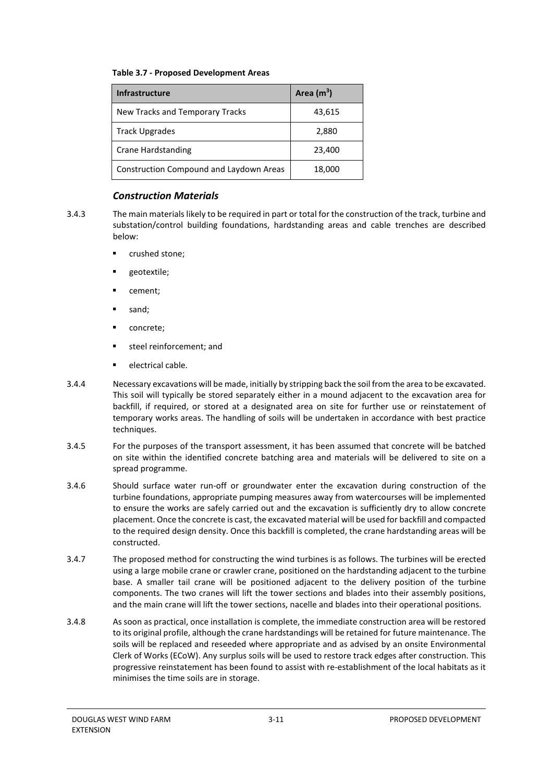#### **Table 3.7 - Proposed Development Areas**

| <b>Infrastructure</b>                   | Area $(m^3)$ |
|-----------------------------------------|--------------|
| New Tracks and Temporary Tracks         | 43,615       |
| <b>Track Upgrades</b>                   | 2,880        |
| <b>Crane Hardstanding</b>               | 23,400       |
| Construction Compound and Laydown Areas | 18,000       |

#### *Construction Materials*

- 3.4.3 The main materials likely to be required in part or total for the construction of the track, turbine and substation/control building foundations, hardstanding areas and cable trenches are described below:
	- crushed stone;
	- geotextile;
	- cement;
	- sand;
	- concrete;
	- steel reinforcement; and
	- electrical cable.
- 3.4.4 Necessary excavations will be made, initially by stripping back the soil from the area to be excavated. This soil will typically be stored separately either in a mound adjacent to the excavation area for backfill, if required, or stored at a designated area on site for further use or reinstatement of temporary works areas. The handling of soils will be undertaken in accordance with best practice techniques.
- 3.4.5 For the purposes of the transport assessment, it has been assumed that concrete will be batched on site within the identified concrete batching area and materials will be delivered to site on a spread programme.
- 3.4.6 Should surface water run-off or groundwater enter the excavation during construction of the turbine foundations, appropriate pumping measures away from watercourses will be implemented to ensure the works are safely carried out and the excavation is sufficiently dry to allow concrete placement. Once the concrete is cast, the excavated material will be used for backfill and compacted to the required design density. Once this backfill is completed, the crane hardstanding areas will be constructed.
- 3.4.7 The proposed method for constructing the wind turbines is as follows. The turbines will be erected using a large mobile crane or crawler crane, positioned on the hardstanding adjacent to the turbine base. A smaller tail crane will be positioned adjacent to the delivery position of the turbine components. The two cranes will lift the tower sections and blades into their assembly positions, and the main crane will lift the tower sections, nacelle and blades into their operational positions.
- 3.4.8 As soon as practical, once installation is complete, the immediate construction area will be restored to its original profile, although the crane hardstandings will be retained for future maintenance. The soils will be replaced and reseeded where appropriate and as advised by an onsite Environmental Clerk of Works (ECoW). Any surplus soils will be used to restore track edges after construction. This progressive reinstatement has been found to assist with re-establishment of the local habitats as it minimises the time soils are in storage.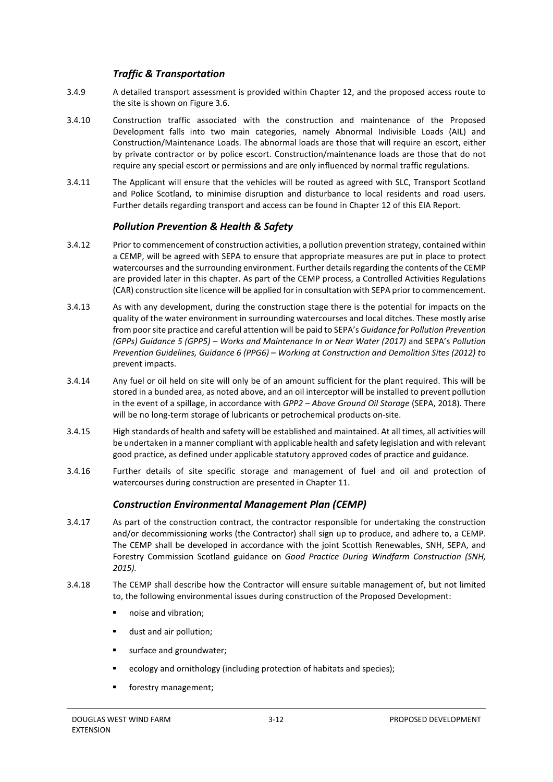### *Traffic & Transportation*

- 3.4.9 A detailed transport assessment is provided within Chapter 12, and the proposed access route to the site is shown on Figure 3.6.
- 3.4.10 Construction traffic associated with the construction and maintenance of the Proposed Development falls into two main categories, namely Abnormal Indivisible Loads (AIL) and Construction/Maintenance Loads. The abnormal loads are those that will require an escort, either by private contractor or by police escort. Construction/maintenance loads are those that do not require any special escort or permissions and are only influenced by normal traffic regulations.
- 3.4.11 The Applicant will ensure that the vehicles will be routed as agreed with SLC, Transport Scotland and Police Scotland, to minimise disruption and disturbance to local residents and road users. Further details regarding transport and access can be found in Chapter 12 of this EIA Report.

### *Pollution Prevention & Health & Safety*

- 3.4.12 Prior to commencement of construction activities, a pollution prevention strategy, contained within a CEMP, will be agreed with SEPA to ensure that appropriate measures are put in place to protect watercourses and the surrounding environment. Further details regarding the contents of the CEMP are provided later in this chapter. As part of the CEMP process, a Controlled Activities Regulations (CAR) construction site licence will be applied for in consultation with SEPA prior to commencement.
- 3.4.13 As with any development, during the construction stage there is the potential for impacts on the quality of the water environment in surrounding watercourses and local ditches. These mostly arise from poor site practice and careful attention will be paid to SEPA's *Guidance for Pollution Prevention (GPPs) Guidance 5 (GPP5) – Works and Maintenance In or Near Water (2017)* and SEPA's *Pollution Prevention Guidelines, Guidance 6 (PPG6) – Working at Construction and Demolition Sites (2012) t*o prevent impacts.
- 3.4.14 Any fuel or oil held on site will only be of an amount sufficient for the plant required. This will be stored in a bunded area, as noted above, and an oil interceptor will be installed to prevent pollution in the event of a spillage, in accordance with *GPP2 – Above Ground Oil Storage* (SEPA, 2018). There will be no long-term storage of lubricants or petrochemical products on-site.
- 3.4.15 High standards of health and safety will be established and maintained. At all times, all activities will be undertaken in a manner compliant with applicable health and safety legislation and with relevant good practice, as defined under applicable statutory approved codes of practice and guidance.
- 3.4.16 Further details of site specific storage and management of fuel and oil and protection of watercourses during construction are presented in Chapter 11.

### *Construction Environmental Management Plan (CEMP)*

- 3.4.17 As part of the construction contract, the contractor responsible for undertaking the construction and/or decommissioning works (the Contractor) shall sign up to produce, and adhere to, a CEMP. The CEMP shall be developed in accordance with the joint Scottish Renewables, SNH, SEPA, and Forestry Commission Scotland guidance on *Good Practice During Windfarm Construction (SNH, 2015).*
- 3.4.18 The CEMP shall describe how the Contractor will ensure suitable management of, but not limited to, the following environmental issues during construction of the Proposed Development:
	- **noise and vibration;**
	- dust and air pollution;
	- surface and groundwater;
	- **EXECOLOGY And Struth Convertional Struth** ecology and species);
	- **forestry management;**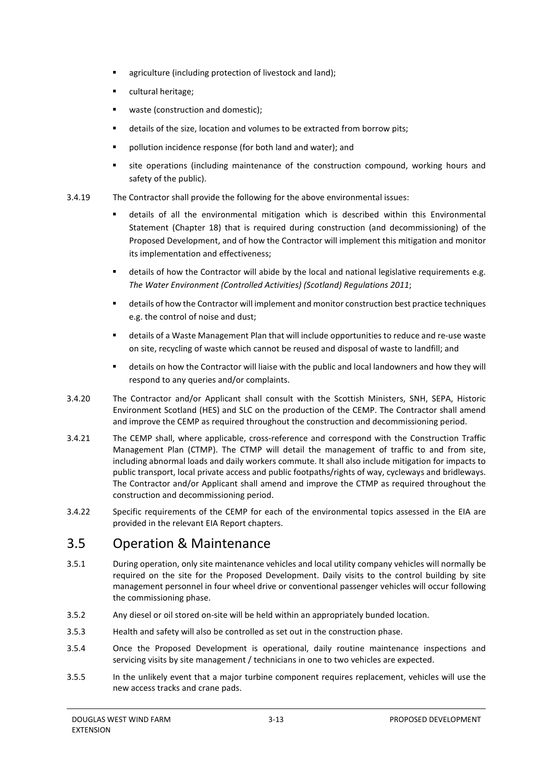- agriculture (including protection of livestock and land);
- cultural heritage;
- waste (construction and domestic);
- details of the size, location and volumes to be extracted from borrow pits;
- **Phonlution incidence response (for both land and water); and**
- site operations (including maintenance of the construction compound, working hours and safety of the public).
- 3.4.19 The Contractor shall provide the following for the above environmental issues:
	- details of all the environmental mitigation which is described within this Environmental Statement (Chapter 18) that is required during construction (and decommissioning) of the Proposed Development, and of how the Contractor will implement this mitigation and monitor its implementation and effectiveness;
	- details of how the Contractor will abide by the local and national legislative requirements e.g. *The Water Environment (Controlled Activities) (Scotland) Regulations 2011*;
	- **•** details of how the Contractor will implement and monitor construction best practice techniques e.g. the control of noise and dust;
	- details of a Waste Management Plan that will include opportunities to reduce and re-use waste on site, recycling of waste which cannot be reused and disposal of waste to landfill; and
	- details on how the Contractor will liaise with the public and local landowners and how they will respond to any queries and/or complaints.
- 3.4.20 The Contractor and/or Applicant shall consult with the Scottish Ministers, SNH, SEPA, Historic Environment Scotland (HES) and SLC on the production of the CEMP. The Contractor shall amend and improve the CEMP as required throughout the construction and decommissioning period.
- 3.4.21 The CEMP shall, where applicable, cross-reference and correspond with the Construction Traffic Management Plan (CTMP). The CTMP will detail the management of traffic to and from site, including abnormal loads and daily workers commute. It shall also include mitigation for impacts to public transport, local private access and public footpaths/rights of way, cycleways and bridleways. The Contractor and/or Applicant shall amend and improve the CTMP as required throughout the construction and decommissioning period.
- 3.4.22 Specific requirements of the CEMP for each of the environmental topics assessed in the EIA are provided in the relevant EIA Report chapters.

### <span id="page-14-0"></span>3.5 Operation & Maintenance

- 3.5.1 During operation, only site maintenance vehicles and local utility company vehicles will normally be required on the site for the Proposed Development. Daily visits to the control building by site management personnel in four wheel drive or conventional passenger vehicles will occur following the commissioning phase.
- 3.5.2 Any diesel or oil stored on-site will be held within an appropriately bunded location.
- 3.5.3 Health and safety will also be controlled as set out in the construction phase.
- 3.5.4 Once the Proposed Development is operational, daily routine maintenance inspections and servicing visits by site management / technicians in one to two vehicles are expected.
- 3.5.5 In the unlikely event that a major turbine component requires replacement, vehicles will use the new access tracks and crane pads.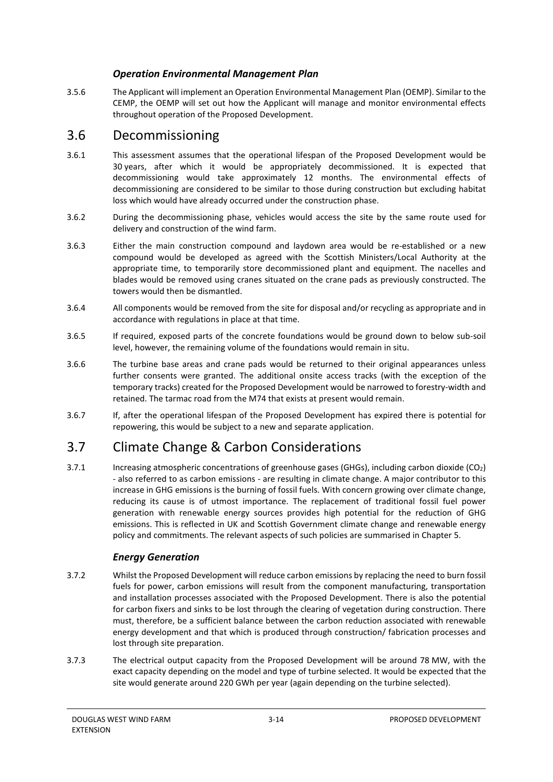### *Operation Environmental Management Plan*

3.5.6 The Applicant will implement an Operation Environmental Management Plan (OEMP). Similar to the CEMP, the OEMP will set out how the Applicant will manage and monitor environmental effects throughout operation of the Proposed Development.

### <span id="page-15-0"></span>3.6 Decommissioning

- 3.6.1 This assessment assumes that the operational lifespan of the Proposed Development would be 30 years, after which it would be appropriately decommissioned. It is expected that decommissioning would take approximately 12 months. The environmental effects of decommissioning are considered to be similar to those during construction but excluding habitat loss which would have already occurred under the construction phase.
- 3.6.2 During the decommissioning phase, vehicles would access the site by the same route used for delivery and construction of the wind farm.
- 3.6.3 Either the main construction compound and laydown area would be re-established or a new compound would be developed as agreed with the Scottish Ministers/Local Authority at the appropriate time, to temporarily store decommissioned plant and equipment. The nacelles and blades would be removed using cranes situated on the crane pads as previously constructed. The towers would then be dismantled.
- 3.6.4 All components would be removed from the site for disposal and/or recycling as appropriate and in accordance with regulations in place at that time.
- 3.6.5 If required, exposed parts of the concrete foundations would be ground down to below sub-soil level, however, the remaining volume of the foundations would remain in situ.
- 3.6.6 The turbine base areas and crane pads would be returned to their original appearances unless further consents were granted. The additional onsite access tracks (with the exception of the temporary tracks) created for the Proposed Development would be narrowed to forestry-width and retained. The tarmac road from the M74 that exists at present would remain.
- 3.6.7 If, after the operational lifespan of the Proposed Development has expired there is potential for repowering, this would be subject to a new and separate application.

## <span id="page-15-1"></span>3.7 Climate Change & Carbon Considerations

3.7.1 Increasing atmospheric concentrations of greenhouse gases (GHGs), including carbon dioxide (CO2) - also referred to as carbon emissions - are resulting in climate change. A major contributor to this increase in GHG emissions is the burning of fossil fuels. With concern growing over climate change, reducing its cause is of utmost importance. The replacement of traditional fossil fuel power generation with renewable energy sources provides high potential for the reduction of GHG emissions. This is reflected in UK and Scottish Government climate change and renewable energy policy and commitments. The relevant aspects of such policies are summarised in Chapter 5.

### *Energy Generation*

- 3.7.2 Whilst the Proposed Development will reduce carbon emissions by replacing the need to burn fossil fuels for power, carbon emissions will result from the component manufacturing, transportation and installation processes associated with the Proposed Development. There is also the potential for carbon fixers and sinks to be lost through the clearing of vegetation during construction. There must, therefore, be a sufficient balance between the carbon reduction associated with renewable energy development and that which is produced through construction/ fabrication processes and lost through site preparation.
- 3.7.3 The electrical output capacity from the Proposed Development will be around 78 MW, with the exact capacity depending on the model and type of turbine selected. It would be expected that the site would generate around 220 GWh per year (again depending on the turbine selected).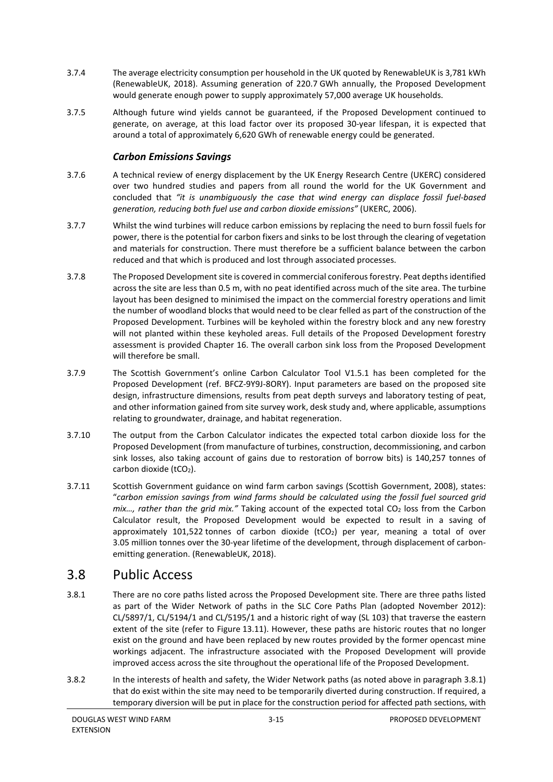- 3.7.4 The average electricity consumption per household in the UK quoted by RenewableUK is 3,781 kWh (RenewableUK, 2018). Assuming generation of 220.7 GWh annually, the Proposed Development would generate enough power to supply approximately 57,000 average UK households.
- 3.7.5 Although future wind yields cannot be guaranteed, if the Proposed Development continued to generate, on average, at this load factor over its proposed 30-year lifespan, it is expected that around a total of approximately 6,620 GWh of renewable energy could be generated.

### *Carbon Emissions Savings*

- 3.7.6 A technical review of energy displacement by the UK Energy Research Centre (UKERC) considered over two hundred studies and papers from all round the world for the UK Government and concluded that *"it is unambiguously the case that wind energy can displace fossil fuel-based generation, reducing both fuel use and carbon dioxide emissions"* (UKERC, 2006).
- 3.7.7 Whilst the wind turbines will reduce carbon emissions by replacing the need to burn fossil fuels for power, there is the potential for carbon fixers and sinks to be lost through the clearing of vegetation and materials for construction. There must therefore be a sufficient balance between the carbon reduced and that which is produced and lost through associated processes.
- 3.7.8 The Proposed Development site is covered in commercial coniferous forestry. Peat depths identified across the site are less than 0.5 m, with no peat identified across much of the site area. The turbine layout has been designed to minimised the impact on the commercial forestry operations and limit the number of woodland blocks that would need to be clear felled as part of the construction of the Proposed Development. Turbines will be keyholed within the forestry block and any new forestry will not planted within these keyholed areas. Full details of the Proposed Development forestry assessment is provided Chapter 16. The overall carbon sink loss from the Proposed Development will therefore be small.
- 3.7.9 The Scottish Government's online Carbon Calculator Tool V1.5.1 has been completed for the Proposed Development (ref. BFCZ-9Y9J-8ORY). Input parameters are based on the proposed site design, infrastructure dimensions, results from peat depth surveys and laboratory testing of peat, and other information gained from site survey work, desk study and, where applicable, assumptions relating to groundwater, drainage, and habitat regeneration.
- 3.7.10 The output from the Carbon Calculator indicates the expected total carbon dioxide loss for the Proposed Development (from manufacture of turbines, construction, decommissioning, and carbon sink losses, also taking account of gains due to restoration of borrow bits) is 140,257 tonnes of carbon dioxide (tCO<sub>2</sub>).
- 3.7.11 Scottish Government guidance on wind farm carbon savings (Scottish Government, 2008), states: "*carbon emission savings from wind farms should be calculated using the fossil fuel sourced grid mix…, rather than the grid mix."* Taking account of the expected total CO2 loss from the Carbon Calculator result, the Proposed Development would be expected to result in a saving of approximately 101,522 tonnes of carbon dioxide (tCO<sub>2</sub>) per year, meaning a total of over 3.05 million tonnes over the 30-year lifetime of the development, through displacement of carbonemitting generation. (RenewableUK, 2018).

### <span id="page-16-0"></span>3.8 Public Access

- 3.8.1 There are no core paths listed across the Proposed Development site. There are three paths listed as part of the Wider Network of paths in the SLC Core Paths Plan (adopted November 2012): CL/5897/1, CL/5194/1 and CL/5195/1 and a historic right of way (SL 103) that traverse the eastern extent of the site (refer to Figure 13.11). However, these paths are historic routes that no longer exist on the ground and have been replaced by new routes provided by the former opencast mine workings adjacent. The infrastructure associated with the Proposed Development will provide improved access across the site throughout the operational life of the Proposed Development.
- 3.8.2 In the interests of health and safety, the Wider Network paths (as noted above in paragraph 3.8.1) that do exist within the site may need to be temporarily diverted during construction. If required, a temporary diversion will be put in place for the construction period for affected path sections, with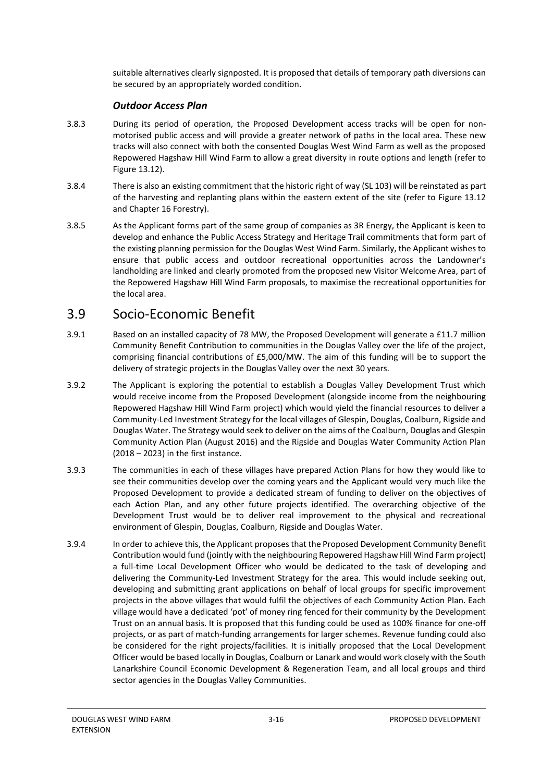suitable alternatives clearly signposted. It is proposed that details of temporary path diversions can be secured by an appropriately worded condition.

### *Outdoor Access Plan*

- 3.8.3 During its period of operation, the Proposed Development access tracks will be open for nonmotorised public access and will provide a greater network of paths in the local area. These new tracks will also connect with both the consented Douglas West Wind Farm as well as the proposed Repowered Hagshaw Hill Wind Farm to allow a great diversity in route options and length (refer to Figure 13.12).
- 3.8.4 There is also an existing commitment that the historic right of way (SL 103) will be reinstated as part of the harvesting and replanting plans within the eastern extent of the site (refer to Figure 13.12 and Chapter 16 Forestry).
- 3.8.5 As the Applicant forms part of the same group of companies as 3R Energy, the Applicant is keen to develop and enhance the Public Access Strategy and Heritage Trail commitments that form part of the existing planning permission for the Douglas West Wind Farm. Similarly, the Applicant wishes to ensure that public access and outdoor recreational opportunities across the Landowner's landholding are linked and clearly promoted from the proposed new Visitor Welcome Area, part of the Repowered Hagshaw Hill Wind Farm proposals, to maximise the recreational opportunities for the local area.

### <span id="page-17-0"></span>3.9 Socio-Economic Benefit

- 3.9.1 Based on an installed capacity of 78 MW, the Proposed Development will generate a £11.7 million Community Benefit Contribution to communities in the Douglas Valley over the life of the project, comprising financial contributions of £5,000/MW. The aim of this funding will be to support the delivery of strategic projects in the Douglas Valley over the next 30 years.
- 3.9.2 The Applicant is exploring the potential to establish a Douglas Valley Development Trust which would receive income from the Proposed Development (alongside income from the neighbouring Repowered Hagshaw Hill Wind Farm project) which would yield the financial resources to deliver a Community-Led Investment Strategy for the local villages of Glespin, Douglas, Coalburn, Rigside and Douglas Water. The Strategy would seek to deliver on the aims of the Coalburn, Douglas and Glespin Community Action Plan (August 2016) and the Rigside and Douglas Water Community Action Plan (2018 – 2023) in the first instance.
- 3.9.3 The communities in each of these villages have prepared Action Plans for how they would like to see their communities develop over the coming years and the Applicant would very much like the Proposed Development to provide a dedicated stream of funding to deliver on the objectives of each Action Plan, and any other future projects identified. The overarching objective of the Development Trust would be to deliver real improvement to the physical and recreational environment of Glespin, Douglas, Coalburn, Rigside and Douglas Water.
- 3.9.4 In order to achieve this, the Applicant proposes that the Proposed Development Community Benefit Contribution would fund (jointly with the neighbouring Repowered Hagshaw Hill Wind Farm project) a full-time Local Development Officer who would be dedicated to the task of developing and delivering the Community-Led Investment Strategy for the area. This would include seeking out, developing and submitting grant applications on behalf of local groups for specific improvement projects in the above villages that would fulfil the objectives of each Community Action Plan. Each village would have a dedicated 'pot' of money ring fenced for their community by the Development Trust on an annual basis. It is proposed that this funding could be used as 100% finance for one-off projects, or as part of match-funding arrangements for larger schemes. Revenue funding could also be considered for the right projects/facilities. It is initially proposed that the Local Development Officer would be based locally in Douglas, Coalburn or Lanark and would work closely with the South Lanarkshire Council Economic Development & Regeneration Team, and all local groups and third sector agencies in the Douglas Valley Communities.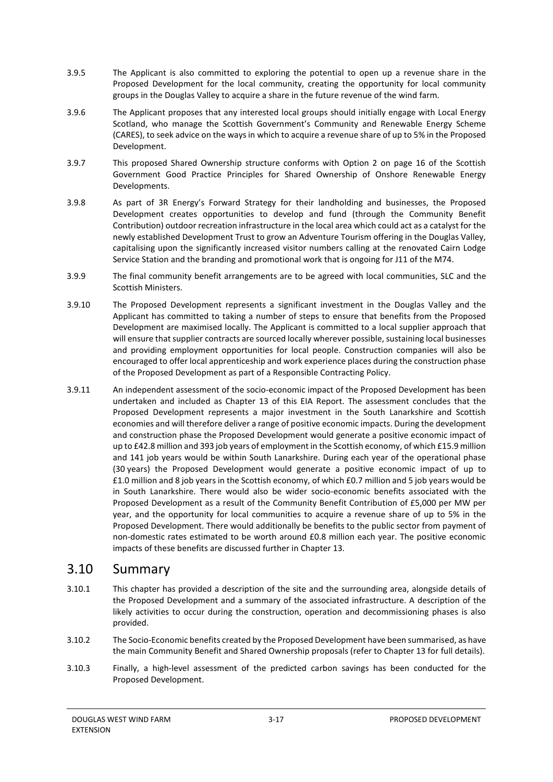- 3.9.5 The Applicant is also committed to exploring the potential to open up a revenue share in the Proposed Development for the local community, creating the opportunity for local community groups in the Douglas Valley to acquire a share in the future revenue of the wind farm.
- 3.9.6 The Applicant proposes that any interested local groups should initially engage with Local Energy Scotland, who manage the Scottish Government's Community and Renewable Energy Scheme (CARES), to seek advice on the ways in which to acquire a revenue share of up to 5% in the Proposed Development.
- 3.9.7 This proposed Shared Ownership structure conforms with Option 2 on page 16 of the Scottish Government Good Practice Principles for Shared Ownership of Onshore Renewable Energy Developments.
- 3.9.8 As part of 3R Energy's Forward Strategy for their landholding and businesses, the Proposed Development creates opportunities to develop and fund (through the Community Benefit Contribution) outdoor recreation infrastructure in the local area which could act as a catalyst for the newly established Development Trust to grow an Adventure Tourism offering in the Douglas Valley, capitalising upon the significantly increased visitor numbers calling at the renovated Cairn Lodge Service Station and the branding and promotional work that is ongoing for J11 of the M74.
- 3.9.9 The final community benefit arrangements are to be agreed with local communities, SLC and the Scottish Ministers.
- 3.9.10 The Proposed Development represents a significant investment in the Douglas Valley and the Applicant has committed to taking a number of steps to ensure that benefits from the Proposed Development are maximised locally. The Applicant is committed to a local supplier approach that will ensure that supplier contracts are sourced locally wherever possible, sustaining local businesses and providing employment opportunities for local people. Construction companies will also be encouraged to offer local apprenticeship and work experience places during the construction phase of the Proposed Development as part of a Responsible Contracting Policy.
- 3.9.11 An independent assessment of the socio-economic impact of the Proposed Development has been undertaken and included as Chapter 13 of this EIA Report. The assessment concludes that the Proposed Development represents a major investment in the South Lanarkshire and Scottish economies and will therefore deliver a range of positive economic impacts. During the development and construction phase the Proposed Development would generate a positive economic impact of up to £42.8 million and 393 job years of employment in the Scottish economy, of which £15.9 million and 141 job years would be within South Lanarkshire. During each year of the operational phase (30 years) the Proposed Development would generate a positive economic impact of up to £1.0 million and 8 job years in the Scottish economy, of which £0.7 million and 5 job years would be in South Lanarkshire. There would also be wider socio-economic benefits associated with the Proposed Development as a result of the Community Benefit Contribution of £5,000 per MW per year, and the opportunity for local communities to acquire a revenue share of up to 5% in the Proposed Development. There would additionally be benefits to the public sector from payment of non-domestic rates estimated to be worth around £0.8 million each year. The positive economic impacts of these benefits are discussed further in Chapter 13.

### <span id="page-18-0"></span>3.10 Summary

- 3.10.1 This chapter has provided a description of the site and the surrounding area, alongside details of the Proposed Development and a summary of the associated infrastructure. A description of the likely activities to occur during the construction, operation and decommissioning phases is also provided.
- 3.10.2 The Socio-Economic benefits created by the Proposed Development have been summarised, as have the main Community Benefit and Shared Ownership proposals (refer to Chapter 13 for full details).
- 3.10.3 Finally, a high-level assessment of the predicted carbon savings has been conducted for the Proposed Development.